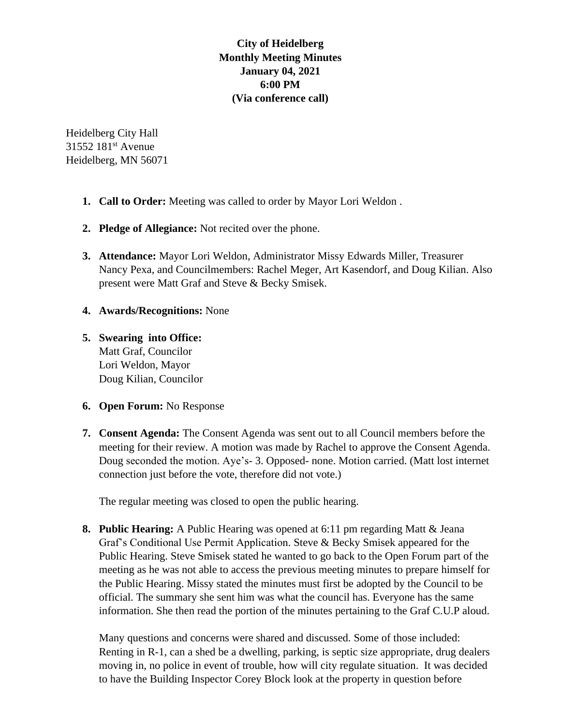# **City of Heidelberg Monthly Meeting Minutes January 04, 2021 6:00 PM (Via conference call)**

Heidelberg City Hall 31552 181<sup>st</sup> Avenue Heidelberg, MN 56071

- **1. Call to Order:** Meeting was called to order by Mayor Lori Weldon .
- **2. Pledge of Allegiance:** Not recited over the phone.
- **3. Attendance:** Mayor Lori Weldon, Administrator Missy Edwards Miller, Treasurer Nancy Pexa, and Councilmembers: Rachel Meger, Art Kasendorf, and Doug Kilian. Also present were Matt Graf and Steve & Becky Smisek.
- **4. Awards/Recognitions:** None
- **5. Swearing into Office:** Matt Graf, Councilor Lori Weldon, Mayor Doug Kilian, Councilor
- **6. Open Forum:** No Response
- **7. Consent Agenda:** The Consent Agenda was sent out to all Council members before the meeting for their review. A motion was made by Rachel to approve the Consent Agenda. Doug seconded the motion. Aye's- 3. Opposed- none. Motion carried. (Matt lost internet connection just before the vote, therefore did not vote.)

The regular meeting was closed to open the public hearing.

**8. Public Hearing:** A Public Hearing was opened at 6:11 pm regarding Matt & Jeana Graf's Conditional Use Permit Application. Steve & Becky Smisek appeared for the Public Hearing. Steve Smisek stated he wanted to go back to the Open Forum part of the meeting as he was not able to access the previous meeting minutes to prepare himself for the Public Hearing. Missy stated the minutes must first be adopted by the Council to be official. The summary she sent him was what the council has. Everyone has the same information. She then read the portion of the minutes pertaining to the Graf C.U.P aloud.

Many questions and concerns were shared and discussed. Some of those included: Renting in R-1, can a shed be a dwelling, parking, is septic size appropriate, drug dealers moving in, no police in event of trouble, how will city regulate situation. It was decided to have the Building Inspector Corey Block look at the property in question before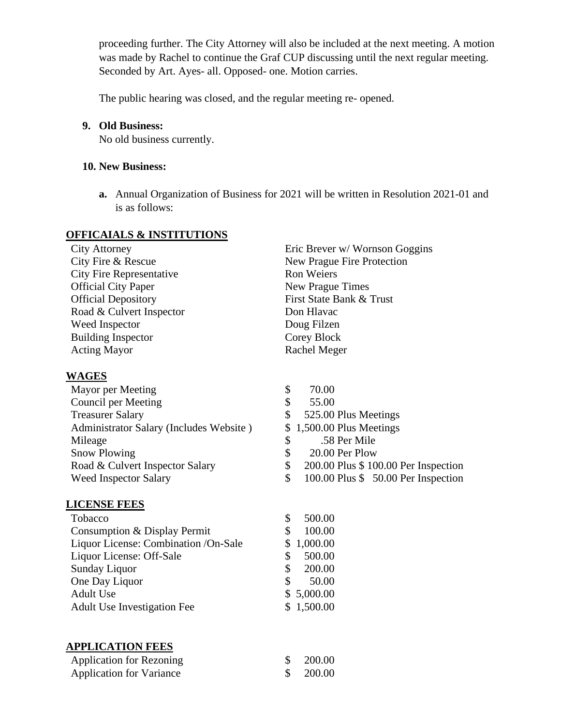proceeding further. The City Attorney will also be included at the next meeting. A motion was made by Rachel to continue the Graf CUP discussing until the next regular meeting. Seconded by Art. Ayes- all. Opposed- one. Motion carries.

The public hearing was closed, and the regular meeting re- opened.

### **9. Old Business:**

No old business currently.

## **10. New Business:**

**a.** Annual Organization of Business for 2021 will be written in Resolution 2021-01 and is as follows:

### **OFFICAIALS & INSTITUTIONS**

| <b>City Attorney</b>            | Eric Brever w/ Wornson   |
|---------------------------------|--------------------------|
| City Fire & Rescue              | New Prague Fire Protect  |
| <b>City Fire Representative</b> | <b>Ron Weiers</b>        |
| <b>Official City Paper</b>      | New Prague Times         |
| <b>Official Depository</b>      | First State Bank & Trust |
| Road & Culvert Inspector        | Don Hlavac               |
| Weed Inspector                  | Doug Filzen              |
| <b>Building Inspector</b>       | Corey Block              |
| <b>Acting Mayor</b>             | Rachel Meger             |

### **WAGES**

| Mayor per Meeting                       |    | 70.00 |                                      |
|-----------------------------------------|----|-------|--------------------------------------|
| Council per Meeting                     | \$ | 55.00 |                                      |
| <b>Treasurer Salary</b>                 | S. |       | 525.00 Plus Meetings                 |
| Administrator Salary (Includes Website) |    |       | $$1,500.00$ Plus Meetings            |
| Mileage                                 |    |       | .58 Per Mile                         |
| <b>Snow Plowing</b>                     |    |       | 20.00 Per Plow                       |
| Road & Culvert Inspector Salary         | \$ |       | 200.00 Plus \$ 100.00 Per Inspection |
| <b>Weed Inspector Salary</b>            |    |       | 100.00 Plus \$50.00 Per Inspection   |

## **LICENSE FEES**

| Tobacco                              |   | 500.00     |
|--------------------------------------|---|------------|
| Consumption & Display Permit         |   | 100.00     |
| Liquor License: Combination /On-Sale |   | \$1,000.00 |
| Liquor License: Off-Sale             |   | 500.00     |
| <b>Sunday Liquor</b>                 | S | 200.00     |
| One Day Liquor                       |   | 50.00      |
| <b>Adult Use</b>                     |   | \$5,000.00 |
| <b>Adult Use Investigation Fee</b>   |   | \$1,500.00 |
|                                      |   |            |

# **APPLICATION FEES**

| <b>Application for Rezoning</b> | $\frac{\$}{200.00}$ |
|---------------------------------|---------------------|
| <b>Application for Variance</b> | $\frac{\$}{200.00}$ |

| <b>City Attorney</b>            | Eric Brever w/ Wornson Goggins |
|---------------------------------|--------------------------------|
| City Fire & Rescue              | New Prague Fire Protection     |
| <b>City Fire Representative</b> | Ron Weiers                     |
| <b>Official City Paper</b>      | New Prague Times               |
| <b>Official Depository</b>      | First State Bank & Trust       |
| Road & Culvert Inspector        | Don Hlavac                     |
| Weed Inspector                  | Doug Filzen                    |
| <b>Building Inspector</b>       | Corey Block                    |
| <b>Acting Mayor</b>             | Rachel Meger                   |
|                                 |                                |

- 
-